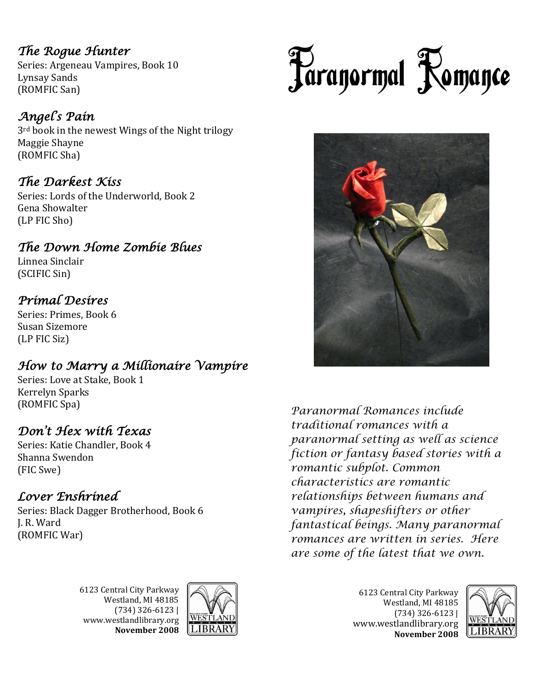*The Rogue Hunter*  Series: Argeneau Vampires, Book 10 Lynsay Sands (ROMFIC San)

*Angel's Pain*  3<sup>rd</sup> book in the newest Wings of the Night trilogy Maggie Shayne (ROMFIC Sha)

## *The Darkest Kiss*

Series: Lords of the Underworld, Book 2 Gena Showalter (LP FIC Sho)

#### *The Down Home Zombie Blues*

Linnea Sinclair (SCIFIC Sin)

#### *Primal Desires*

Series: Primes, Book 6 Susan Sizemore (LP FIC Siz)

#### *How to Marry a Millionaire Vampire*

Series: Love at Stake, Book 1 Kerrelyn Sparks (ROMFIC Spa)

### *Don't Hex with Texas*

Series: Katie Chandler, Book 4 Shanna Swendon (FIC Swe)

#### *Lover Enshrined*

Series: Black Dagger Brotherhood, Book 6 J. R. Ward (ROMFIC War)

> 6123 Central City Parkway Westland, MI 48185 (734) 326-6123 | www.westlandlibrary.org **November 2008**







*Paranormal Romances include traditional romances with a paranormal setting as well as science fiction or fantasy based stories with a romantic subplot. Common characteristics are romantic relationships between humans and vampires, shapeshifters or other fantastical beings. Many paranormal romances are written in series. Here are some of the latest that we own.*

> 6123 Central City Parkway Westland, MI 48185 (734) 326-6123 | www.westlandlibrary.org **November 2008**